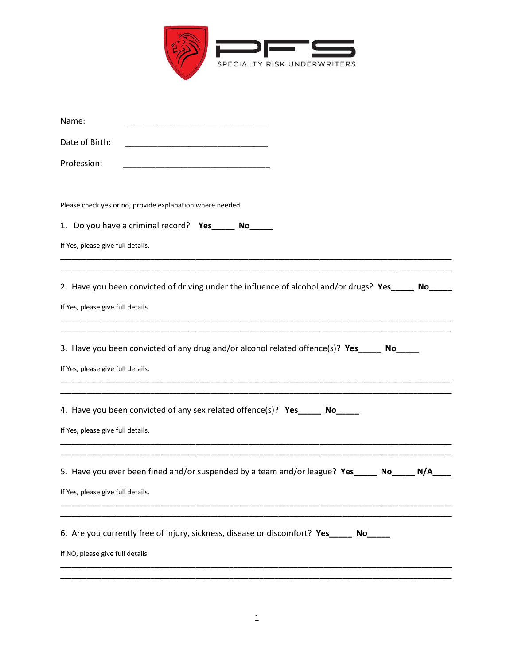

| Name:                                                                                                       |
|-------------------------------------------------------------------------------------------------------------|
| Date of Birth:<br>the control of the control of the control of the control of the control of the control of |
| Profession:<br><u> 1980 - Johann Barbara, martin amerikan basar da</u>                                      |
|                                                                                                             |
| Please check yes or no, provide explanation where needed                                                    |
| 1. Do you have a criminal record? Yes_____ No_____                                                          |
| If Yes, please give full details.                                                                           |
|                                                                                                             |
| 2. Have you been convicted of driving under the influence of alcohol and/or drugs? Yes_____ No___           |
| If Yes, please give full details.                                                                           |
|                                                                                                             |
| 3. Have you been convicted of any drug and/or alcohol related offence(s)? Yes_____ No_____                  |
| If Yes, please give full details.                                                                           |
|                                                                                                             |
| 4. Have you been convicted of any sex related offence(s)? Yes ______ No_____                                |
| If Yes, please give full details.                                                                           |
|                                                                                                             |
| 5. Have you ever been fined and/or suspended by a team and/or league? Yes ______ No<br>N/A                  |
| If Yes, please give full details.                                                                           |
|                                                                                                             |
| 6. Are you currently free of injury, sickness, disease or discomfort? Yes_____ No_                          |
| If NO, please give full details.                                                                            |